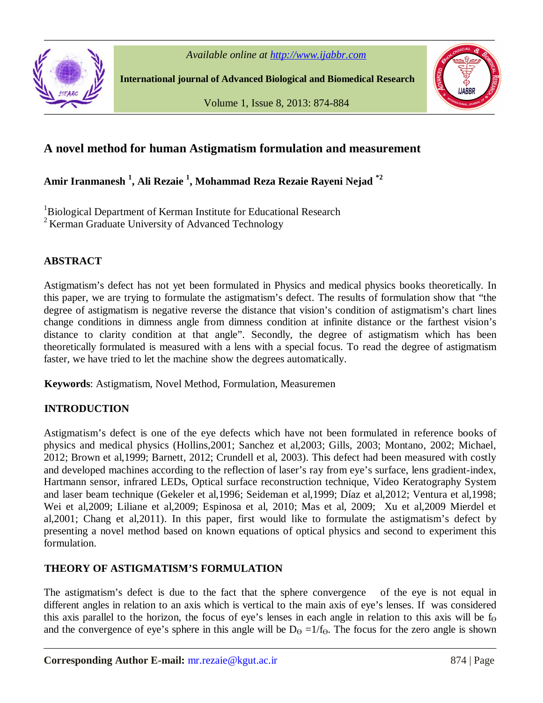



**International journal of Advanced Biological and Biomedical Research**

Volume 1, Issue 8, 2013: 874-884



# **A novel method for human Astigmatism formulation and measurement**

**Amir Iranmanesh <sup>1</sup> , Ali Rezaie <sup>1</sup> , Mohammad Reza Rezaie Rayeni Nejad \*2**

<sup>1</sup>Biological Department of Kerman Institute for Educational Research  $2$  Kerman Graduate University of Advanced Technology

## **ABSTRACT**

Astigmatism's defect has not yet been formulated in Physics and medical physics books theoretically. In this paper, we are trying to formulate the astigmatism's defect. The results of formulation show that "the degree of astigmatism is negative reverse the distance that vision's condition of astigmatism's chart lines change conditions in dimness angle from dimness condition at infinite distance or the farthest vision's distance to clarity condition at that angle". Secondly, the degree of astigmatism which has been theoretically formulated is measured with a lens with a special focus. To read the degree of astigmatism faster, we have tried to let the machine show the degrees automatically.

**Keywords**: Astigmatism, Novel Method, Formulation, Measuremen

# **INTRODUCTION**

Astigmatism's defect is one of the eye defects which have not been formulated in reference books of physics and medical physics (Hollins,2001; Sanchez et al,2003; Gills, 2003; Montano, 2002; Michael, 2012; Brown et al,1999; Barnett, 2012; Crundell et al, 2003). This defect had been measured with costly and developed machines according to the reflection of laser's ray from eye's surface, lens gradient-index, Hartmann sensor, infrared LEDs, Optical surface reconstruction technique, Video Keratography System and laser beam technique (Gekeler et al,1996; Seideman et al,1999; Díaz et al,2012; Ventura et al,1998; Wei et al,2009; Liliane et al,2009; Espinosa et al, 2010; Mas et al, 2009; Xu et al,2009 Mierdel et al,2001; Chang et al,2011). In this paper, first would like to formulate the astigmatism's defect by presenting a novel method based on known equations of optical physics and second to experiment this formulation.

# **THEORY OF ASTIGMATISM'S FORMULATION**

The astigmatism's defect is due to the fact that the sphere convergence of the eye is not equal in different angles in relation to an axis which is vertical to the main axis of eye's lenses. If was considered this axis parallel to the horizon, the focus of eye's lenses in each angle in relation to this axis will be  $f_{\Theta}$ and the convergence of eye's sphere in this angle will be  $D_\Theta = 1/f_\Theta$ . The focus for the zero angle is shown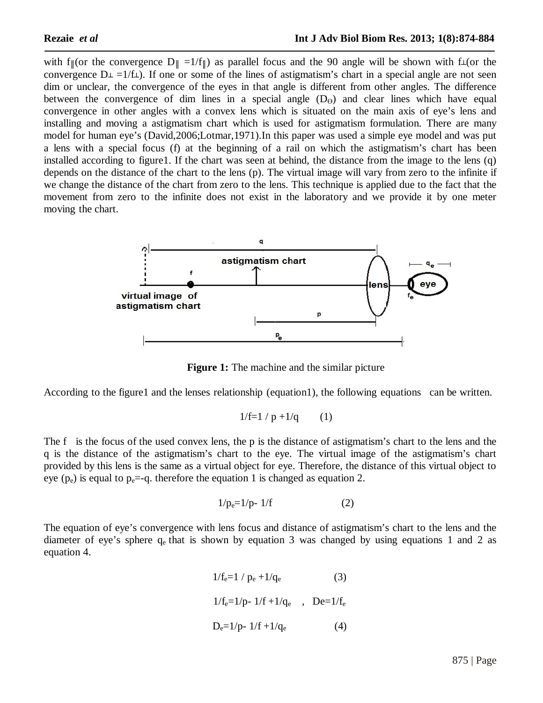with f||(or the convergence  $D_{\parallel} = 1/f_{\parallel}$ ) as parallel focus and the 90 angle will be shown with f $\perp$ (or the convergence  $D\perp = 1/f\perp$ . If one or some of the lines of astigmatism's chart in a special angle are not seen dim or unclear, the convergence of the eyes in that angle is different from other angles. The difference between the convergence of dim lines in a special angle  $(D<sub>\Theta</sub>)$  and clear lines which have equal convergence in other angles with a convex lens which is situated on the main axis of eye's lens and installing and moving a astigmatism chart which is used for astigmatism formulation. There are many model for human eye's (David,2006;Lotmar,1971).In this paper was used a simple eye model and was put a lens with a special focus (f) at the beginning of a rail on which the astigmatism's chart has been installed according to figure1. If the chart was seen at behind, the distance from the image to the lens (q) depends on the distance of the chart to the lens (p). The virtual image will vary from zero to the infinite if we change the distance of the chart from zero to the lens. This technique is applied due to the fact that the movement from zero to the infinite does not exist in the laboratory and we provide it by one meter moving the chart.



**Figure 1:** The machine and the similar picture

According to the figure1 and the lenses relationship (equation1), the following equations can be written.

$$
1/f=1/p+1/q
$$
 (1)

The f is the focus of the used convex lens, the p is the distance of astigmatism's chart to the lens and the q is the distance of the astigmatism's chart to the eye. The virtual image of the astigmatism's chart provided by this lens is the same as a virtual object for eye. Therefore, the distance of this virtual object to eye ( $p_e$ ) is equal to  $p_e$ =-q. therefore the equation 1 is changed as equation 2.

$$
1/p_e=1/p-1/f
$$
 (2)

The equation of eye's convergence with lens focus and distance of astigmatism's chart to the lens and the diameter of eye's sphere  $q_e$  that is shown by equation 3 was changed by using equations 1 and 2 as equation 4.

$$
1/f_e=1 / p_e + 1/q_e
$$
 (3)  

$$
1/f_e=1/p - 1/f + 1/q_e
$$
, 
$$
De=1/f_e
$$
  

$$
D_e=1/p - 1/f + 1/q_e
$$
 (4)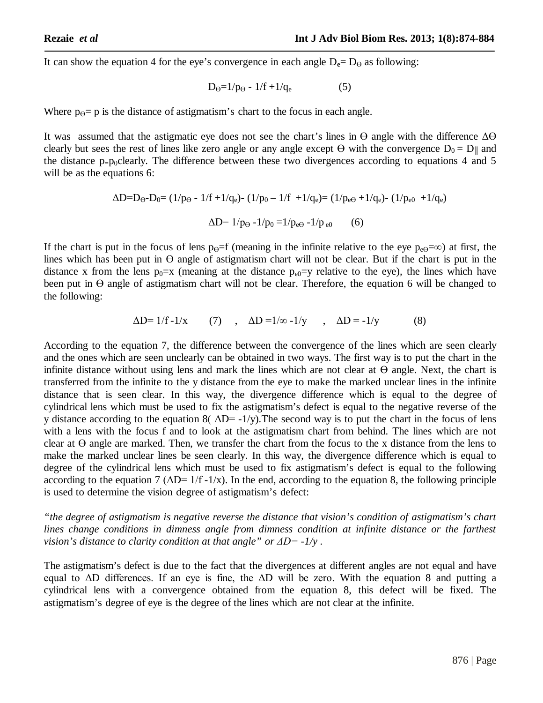It can show the equation 4 for the eye's convergence in each angle  $D_e = D_\theta$  as following:

$$
D_{\Theta} = 1/p_{\Theta} - 1/f + 1/q_{e} \tag{5}
$$

Where  $p_{\theta} = p$  is the distance of astigmatism's chart to the focus in each angle.

It was assumed that the astigmatic eye does not see the chart's lines in  $\Theta$  angle with the difference  $\Delta\Theta$ clearly but sees the rest of lines like zero angle or any angle except  $\Theta$  with the convergence  $D_0 = D_{\parallel}$  and the distance  $p=p_0$ clearly. The difference between these two divergences according to equations 4 and 5 will be as the equations 6:

$$
\Delta D = D_{\Theta} - D_0 = (1/p_{\Theta} - 1/f + 1/q_e) - (1/p_0 - 1/f + 1/q_e) = (1/p_{e\Theta} + 1/q_e) - (1/p_{e0} + 1/q_e)
$$

$$
\Delta D = 1/p_{\Theta} - 1/p_0 = 1/p_{e\Theta} - 1/p_{e0} \qquad (6)
$$

If the chart is put in the focus of lens p $\Theta$ =f (meaning in the infinite relative to the eye p $\Theta$ =∞) at first, the lines which has been put in  $\Theta$  angle of astigmatism chart will not be clear. But if the chart is put in the distance x from the lens  $p_0=x$  (meaning at the distance  $p_{e0}=y$  relative to the eye), the lines which have been put in ϴ angle of astigmatism chart will not be clear. Therefore, the equation 6 will be changed to the following:

$$
\Delta D = 1/f - 1/x \qquad (7) \qquad , \quad \Delta D = 1/\infty - 1/y \qquad , \quad \Delta D = -1/y \qquad (8)
$$

According to the equation 7, the difference between the convergence of the lines which are seen clearly and the ones which are seen unclearly can be obtained in two ways. The first way is to put the chart in the infinite distance without using lens and mark the lines which are not clear at  $\Theta$  angle. Next, the chart is transferred from the infinite to the y distance from the eye to make the marked unclear lines in the infinite distance that is seen clear. In this way, the divergence difference which is equal to the degree of cylindrical lens which must be used to fix the astigmatism's defect is equal to the negative reverse of the y distance according to the equation 8( $\Delta D = -1/y$ ). The second way is to put the chart in the focus of lens with a lens with the focus f and to look at the astigmatism chart from behind. The lines which are not clear at  $\Theta$  angle are marked. Then, we transfer the chart from the focus to the x distance from the lens to make the marked unclear lines be seen clearly. In this way, the divergence difference which is equal to degree of the cylindrical lens which must be used to fix astigmatism's defect is equal to the following according to the equation 7 ( $\Delta D = 1/f - 1/x$ ). In the end, according to the equation 8, the following principle is used to determine the vision degree of astigmatism's defect:

*"the degree of astigmatism is negative reverse the distance that vision's condition of astigmatism's chart lines change conditions in dimness angle from dimness condition at infinite distance or the farthest vision's distance to clarity condition at that angle" or ΔD= -1/y .*

The astigmatism's defect is due to the fact that the divergences at different angles are not equal and have equal to  $\Delta D$  differences. If an eye is fine, the  $\Delta D$  will be zero. With the equation 8 and putting a cylindrical lens with a convergence obtained from the equation 8, this defect will be fixed. The astigmatism's degree of eye is the degree of the lines which are not clear at the infinite.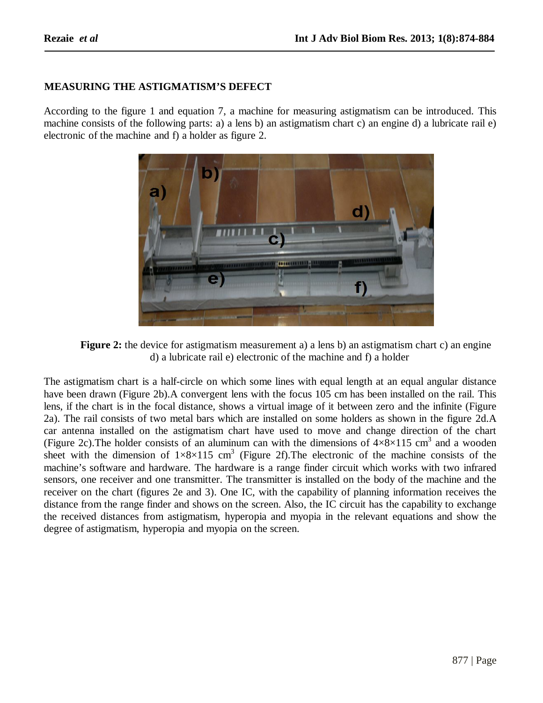## **MEASURING THE ASTIGMATISM'S DEFECT**

According to the figure 1 and equation 7, a machine for measuring astigmatism can be introduced. This machine consists of the following parts: a) a lens b) an astigmatism chart c) an engine d) a lubricate rail e) electronic of the machine and f) a holder as figure 2.



**Figure 2:** the device for astigmatism measurement a) a lens b) an astigmatism chart c) an engine d) a lubricate rail e) electronic of the machine and f) a holder

The astigmatism chart is a half-circle on which some lines with equal length at an equal angular distance have been drawn (Figure 2b).A convergent lens with the focus 105 cm has been installed on the rail. This lens, if the chart is in the focal distance, shows a virtual image of it between zero and the infinite (Figure 2a). The rail consists of two metal bars which are installed on some holders as shown in the figure 2d.A car antenna installed on the astigmatism chart have used to move and change direction of the chart (Figure 2c). The holder consists of an aluminum can with the dimensions of  $4 \times 8 \times 115$  cm<sup>3</sup> and a wooden sheet with the dimension of  $1\times8\times115$  cm<sup>3</sup> (Figure 2f). The electronic of the machine consists of the machine's software and hardware. The hardware is a range finder circuit which works with two infrared sensors, one receiver and one transmitter. The transmitter is installed on the body of the machine and the receiver on the chart (figures 2e and 3). One IC, with the capability of planning information receives the distance from the range finder and shows on the screen. Also, the IC circuit has the capability to exchange the received distances from astigmatism, hyperopia and myopia in the relevant equations and show the degree of astigmatism, hyperopia and myopia on the screen.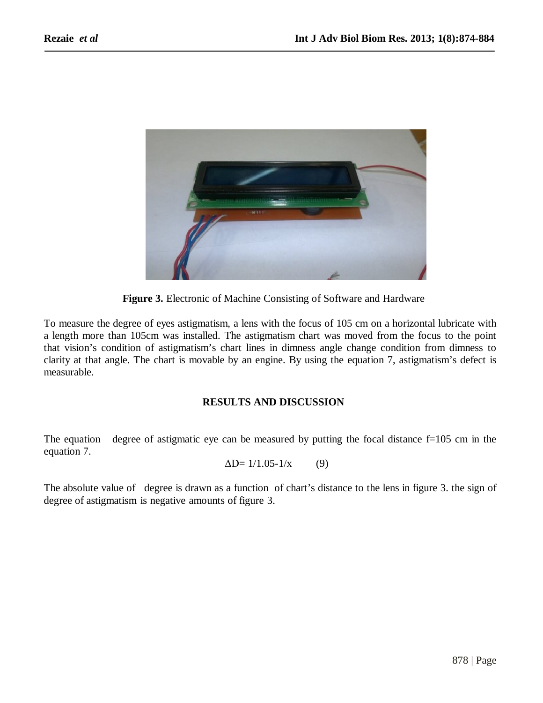

**Figure 3.** Electronic of Machine Consisting of Software and Hardware

To measure the degree of eyes astigmatism, a lens with the focus of 105 cm on a horizontal lubricate with a length more than 105cm was installed. The astigmatism chart was moved from the focus to the point that vision's condition of astigmatism's chart lines in dimness angle change condition from dimness to clarity at that angle. The chart is movable by an engine. By using the equation 7, astigmatism's defect is measurable.

#### **RESULTS AND DISCUSSION**

The equation degree of astigmatic eye can be measured by putting the focal distance  $f=105$  cm in the equation 7.

 $\Delta D = 1/1.05 - 1/x$  (9)

The absolute value of degree is drawn as a function of chart's distance to the lens in figure 3. the sign of degree of astigmatism is negative amounts of figure 3.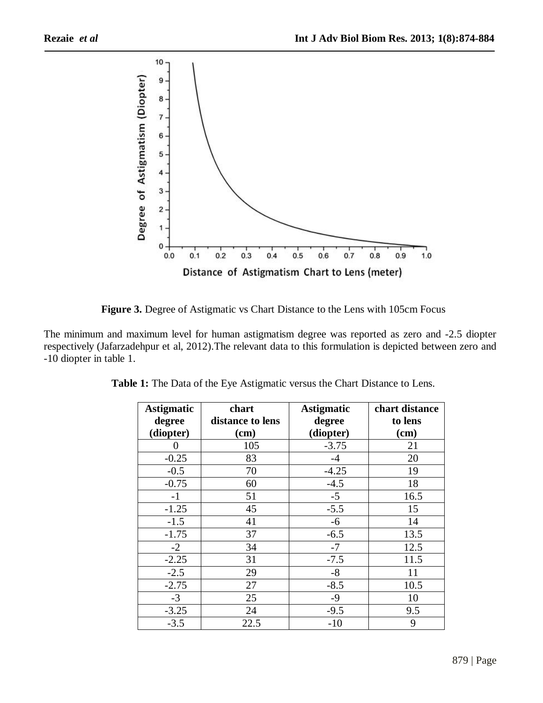

**Figure 3.** Degree of Astigmatic vs Chart Distance to the Lens with 105cm Focus

The minimum and maximum level for human astigmatism degree was reported as zero and -2.5 diopter respectively (Jafarzadehpur et al, 2012).The relevant data to this formulation is depicted between zero and -10 diopter in table 1.

| <b>Astigmatic</b><br>degree | chart<br>distance to lens | <b>Astigmatic</b><br>degree | chart distance<br>to lens |
|-----------------------------|---------------------------|-----------------------------|---------------------------|
| (diopter)                   | $(cm)$                    | (diopter)                   | $(cm)$                    |
|                             | 105                       | $-3.75$                     | 21                        |
| $-0.25$                     | 83                        | $-4$                        | 20                        |
| $-0.5$                      | 70                        | $-4.25$                     | 19                        |
| $-0.75$                     | 60                        | $-4.5$                      | 18                        |
| $-1$                        | 51                        | $-5$                        | 16.5                      |
| $-1.25$                     | 45                        | $-5.5$                      | 15                        |
| $-1.5$                      | 41                        | $-6$                        | 14                        |
| $-1.75$                     | 37                        | $-6.5$                      | 13.5                      |
| $-2$                        | 34                        | $-7$                        | 12.5                      |
| $-2.25$                     | 31                        | $-7.5$                      | 11.5                      |
| $-2.5$                      | 29                        | $-8$                        | 11                        |
| $-2.75$                     | 27                        | $-8.5$                      | 10.5                      |
| $-3$                        | 25                        | $-9$                        | 10                        |
| $-3.25$                     | 24                        | $-9.5$                      | 9.5                       |
| $-3.5$                      | 22.5                      | $-10$                       | 9                         |

**Table 1:** The Data of the Eye Astigmatic versus the Chart Distance to Lens.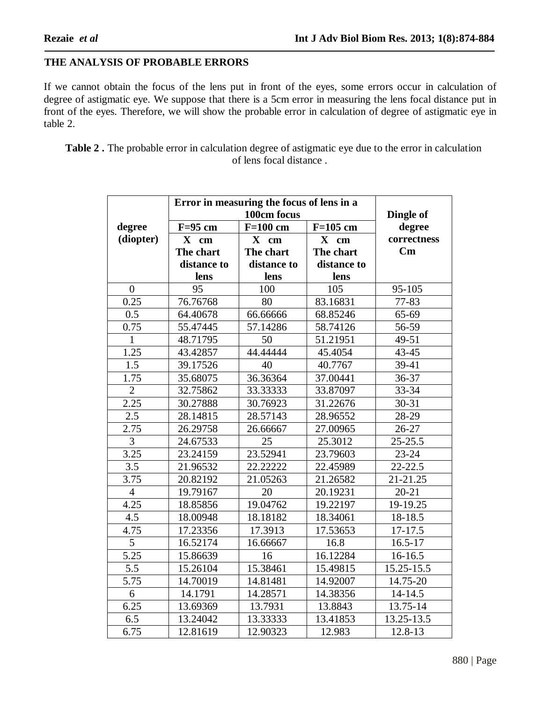## **THE ANALYSIS OF PROBABLE ERRORS**

If we cannot obtain the focus of the lens put in front of the eyes, some errors occur in calculation of degree of astigmatic eye. We suppose that there is a 5cm error in measuring the lens focal distance put in front of the eyes. Therefore, we will show the probable error in calculation of degree of astigmatic eye in table 2.

**Table 2 .** The probable error in calculation degree of astigmatic eye due to the error in calculation of lens focal distance .

|                   | Error in measuring the focus of lens in a |             |             |                        |
|-------------------|-------------------------------------------|-------------|-------------|------------------------|
|                   | 100cm focus                               |             |             | Dingle of              |
| degree            | $F=95$ cm                                 | $F=100$ cm  | $F=105$ cm  | degree                 |
| (diopter)         | X cm                                      | X cm        | X cm        | correctness            |
|                   | The chart                                 | The chart   | The chart   | $\mathbf{C}\mathbf{m}$ |
|                   | distance to                               | distance to | distance to |                        |
|                   | lens                                      | lens        | lens        |                        |
| $\overline{0}$    | 95                                        | 100         | 105         | 95-105                 |
| 0.25              | 76.76768                                  | 80          | 83.16831    | 77-83                  |
| 0.5               | 64.40678                                  | 66.66666    | 68.85246    | 65-69                  |
| 0.75              | 55.47445                                  | 57.14286    | 58.74126    | 56-59                  |
| $\mathbf{1}$      | 48.71795                                  | 50          | 51.21951    | 49-51                  |
| 1.25              | 43.42857                                  | 44.44444    | 45.4054     | $43 - 45$              |
| 1.5               | 39.17526                                  | 40          | 40.7767     | 39-41                  |
| 1.75              | 35.68075                                  | 36.36364    | 37.00441    | 36-37                  |
| $\overline{2}$    | 32.75862                                  | 33.33333    | 33.87097    | 33-34                  |
| 2.25              | 30.27888                                  | 30.76923    | 31.22676    | $30 - 31$              |
| 2.5               | 28.14815                                  | 28.57143    | 28.96552    | 28-29                  |
| 2.75              | 26.29758                                  | 26.66667    | 27.00965    | $26 - 27$              |
| $\overline{3}$    | 24.67533                                  | 25          | 25.3012     | $25 - 25.5$            |
| $\overline{3.25}$ | 23.24159                                  | 23.52941    | 23.79603    | $23 - 24$              |
| $\overline{3.5}$  | 21.96532                                  | 22.22222    | 22.45989    | $22 - 22.5$            |
| 3.75              | 20.82192                                  | 21.05263    | 21.26582    | 21-21.25               |
| $\overline{4}$    | 19.79167                                  | 20          | 20.19231    | $20 - 21$              |
| 4.25              | 18.85856                                  | 19.04762    | 19.22197    | 19-19.25               |
| 4.5               | 18.00948                                  | 18.18182    | 18.34061    | 18-18.5                |
| 4.75              | 17.23356                                  | 17.3913     | 17.53653    | 17-17.5                |
| $\overline{5}$    | 16.52174                                  | 16.66667    | 16.8        | $16.5 - 17$            |
| $\overline{5.25}$ | 15.86639                                  | 16          | 16.12284    | 16-16.5                |
| 5.5               | 15.26104                                  | 15.38461    | 15.49815    | 15.25-15.5             |
| 5.75              | 14.70019                                  | 14.81481    | 14.92007    | 14.75-20               |
| 6                 | 14.1791                                   | 14.28571    | 14.38356    | 14-14.5                |
| 6.25              | 13.69369                                  | 13.7931     | 13.8843     | 13.75-14               |
| 6.5               | 13.24042                                  | 13.33333    | 13.41853    | 13.25-13.5             |
| 6.75              | 12.81619                                  | 12.90323    | 12.983      | 12.8-13                |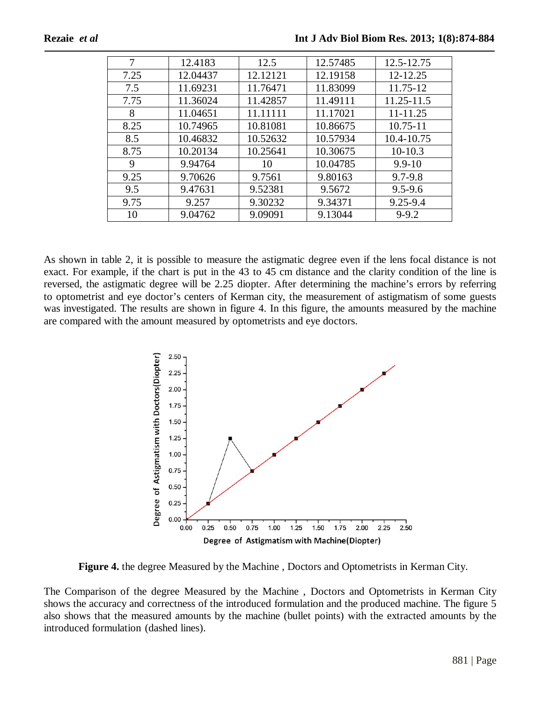| 7    | 12.4183  | 12.5     | 12.57485 | 12.5-12.75   |
|------|----------|----------|----------|--------------|
| 7.25 | 12.04437 | 12.12121 | 12.19158 | 12-12.25     |
| 7.5  | 11.69231 | 11.76471 | 11.83099 | 11.75-12     |
| 7.75 | 11.36024 | 11.42857 | 11.49111 | 11.25-11.5   |
| 8    | 11.04651 | 11.11111 | 11.17021 | $11 - 11.25$ |
| 8.25 | 10.74965 | 10.81081 | 10.86675 | $10.75 - 11$ |
| 8.5  | 10.46832 | 10.52632 | 10.57934 | 10.4-10.75   |
| 8.75 | 10.20134 | 10.25641 | 10.30675 | $10-10.3$    |
| 9    | 9.94764  | 10       | 10.04785 | $9.9 - 10$   |
| 9.25 | 9.70626  | 9.7561   | 9.80163  | $9.7 - 9.8$  |
| 9.5  | 9.47631  | 9.52381  | 9.5672   | $9.5 - 9.6$  |
| 9.75 | 9.257    | 9.30232  | 9.34371  | $9.25 - 9.4$ |
| 10   | 9.04762  | 9.09091  | 9.13044  | $9 - 9.2$    |

As shown in table 2, it is possible to measure the astigmatic degree even if the lens focal distance is not exact. For example, if the chart is put in the 43 to 45 cm distance and the clarity condition of the line is reversed, the astigmatic degree will be 2.25 diopter. After determining the machine's errors by referring to optometrist and eye doctor's centers of Kerman city, the measurement of astigmatism of some guests was investigated. The results are shown in figure 4. In this figure, the amounts measured by the machine are compared with the amount measured by optometrists and eye doctors.



**Figure 4.** the degree Measured by the Machine , Doctors and Optometrists in Kerman City.

The Comparison of the degree Measured by the Machine , Doctors and Optometrists in Kerman City shows the accuracy and correctness of the introduced formulation and the produced machine. The figure 5 also shows that the measured amounts by the machine (bullet points) with the extracted amounts by the introduced formulation (dashed lines).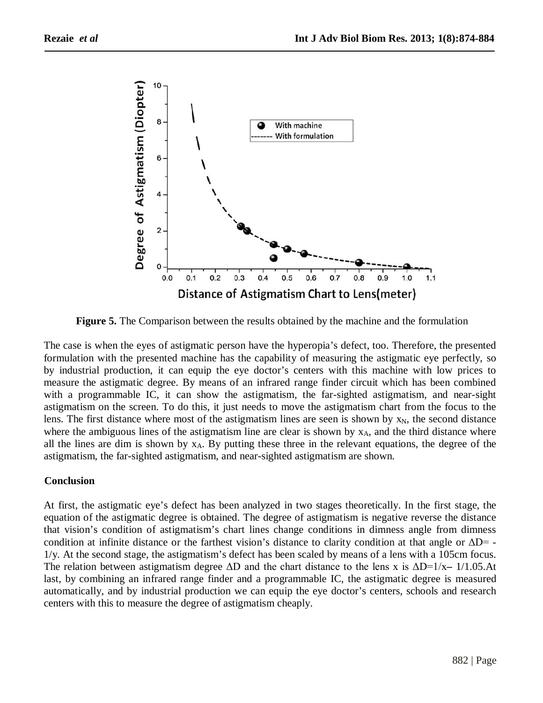

**Figure 5.** The Comparison between the results obtained by the machine and the formulation

The case is when the eyes of astigmatic person have the hyperopia's defect, too. Therefore, the presented formulation with the presented machine has the capability of measuring the astigmatic eye perfectly, so by industrial production, it can equip the eye doctor's centers with this machine with low prices to measure the astigmatic degree. By means of an infrared range finder circuit which has been combined with a programmable IC, it can show the astigmatism, the far-sighted astigmatism, and near-sight astigmatism on the screen. To do this, it just needs to move the astigmatism chart from the focus to the lens. The first distance where most of the astigmatism lines are seen is shown by  $x_N$ , the second distance where the ambiguous lines of the astigmatism line are clear is shown by  $x_A$ , and the third distance where all the lines are dim is shown by  $x_A$ . By putting these three in the relevant equations, the degree of the astigmatism, the far-sighted astigmatism, and near-sighted astigmatism are shown.

## **Conclusion**

At first, the astigmatic eye's defect has been analyzed in two stages theoretically. In the first stage, the equation of the astigmatic degree is obtained. The degree of astigmatism is negative reverse the distance that vision's condition of astigmatism's chart lines change conditions in dimness angle from dimness condition at infinite distance or the farthest vision's distance to clarity condition at that angle or  $\Delta D = -$ 1/y. At the second stage, the astigmatism's defect has been scaled by means of a lens with a 105cm focus. The relation between astigmatism degree ΔD and the chart distance to the lens x is ΔD=1/x**–** 1/1.05.At last, by combining an infrared range finder and a programmable IC, the astigmatic degree is measured automatically, and by industrial production we can equip the eye doctor's centers, schools and research centers with this to measure the degree of astigmatism cheaply.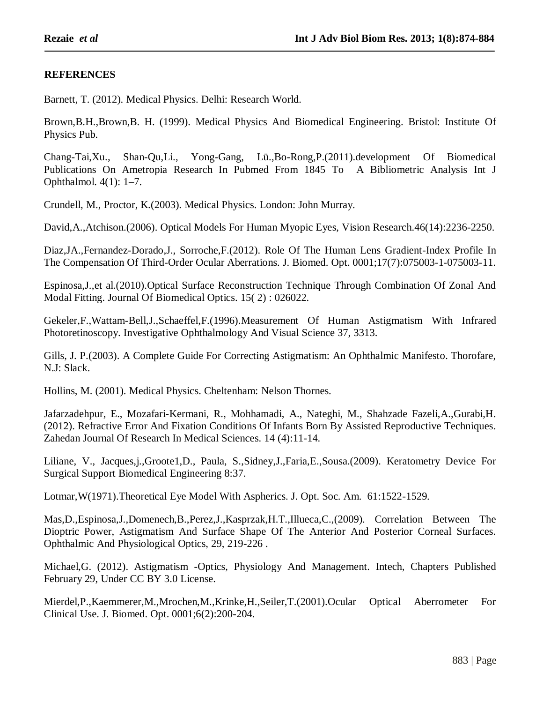## **REFERENCES**

Barnett, T. (2012). Medical Physics. Delhi: Research World.

Brown,B.H.,Brown,B. H. (1999). Medical Physics And Biomedical Engineering. Bristol: Institute Of Physics Pub.

Chang-Tai,Xu., Shan-Qu,Li., Yong-Gang, Lü.,Bo-Rong,P.(2011).development Of Biomedical Publications On Ametropia Research In Pubmed From 1845 To A Bibliometric Analysis Int J Ophthalmol. 4(1): 1–7.

Crundell, M., Proctor, K.(2003). Medical Physics. London: John Murray.

David,A.,Atchison.(2006). Optical Models For Human Myopic Eyes, Vision Research.46(14):2236-2250.

Diaz,JA.,Fernandez-Dorado,J., Sorroche,F.(2012). Role Of The Human Lens Gradient-Index Profile In The Compensation Of Third-Order Ocular Aberrations. J. Biomed. Opt. 0001;17(7):075003-1-075003-11.

Espinosa,J.,et al.(2010).Optical Surface Reconstruction Technique Through Combination Of Zonal And Modal Fitting. Journal Of Biomedical Optics. 15( 2) : 026022.

Gekeler,F.,Wattam-Bell,J.,Schaeffel,F.(1996).Measurement Of Human Astigmatism With Infrared Photoretinoscopy. Investigative Ophthalmology And Visual Science 37, 3313.

Gills, J. P.(2003). A Complete Guide For Correcting Astigmatism: An Ophthalmic Manifesto. Thorofare, N.J: Slack.

Hollins, M. (2001). Medical Physics. Cheltenham: Nelson Thornes.

Jafarzadehpur, E., Mozafari-Kermani, R., Mohhamadi, A., Nateghi, M., Shahzade Fazeli,A.,Gurabi,H. (2012). Refractive Error And Fixation Conditions Of Infants Born By Assisted Reproductive Techniques. Zahedan Journal Of Research In Medical Sciences. 14 (4):11-14.

Liliane, V., Jacques,j.,Groote1,D., Paula, S.,Sidney,J.,Faria,E.,Sousa.(2009). Keratometry Device For Surgical Support Biomedical Engineering 8:37.

Lotmar,W(1971).Theoretical Eye Model With Aspherics. J. Opt. Soc. Am. 61:1522-1529.

Mas,D.,Espinosa,J.,Domenech,B.,Perez,J.,Kasprzak,H.T.,Illueca,C.,(2009). Correlation Between The Dioptric Power, Astigmatism And Surface Shape Of The Anterior And Posterior Corneal Surfaces. Ophthalmic And Physiological Optics, 29, 219-226 .

Michael,G. (2012). Astigmatism -Optics, Physiology And Management. Intech, Chapters Published February 29, Under CC BY 3.0 License.

Mierdel,P.,Kaemmerer,M.,Mrochen,M.,Krinke,H.,Seiler,T.(2001).Ocular Optical Aberrometer For Clinical Use. J. Biomed. Opt. 0001;6(2):200-204.